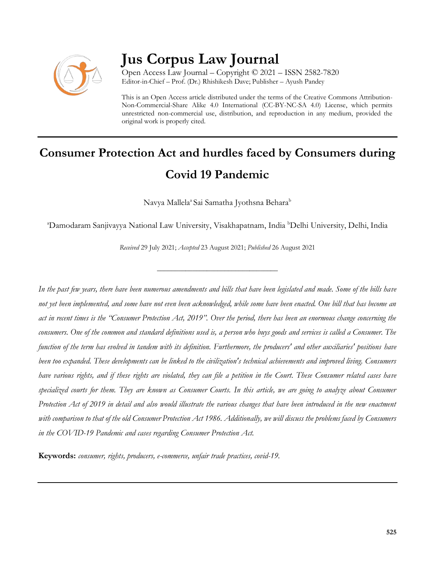

# **Jus Corpus Law Journal**

Open Access Law Journal – Copyright © 2021 – ISSN 2582-7820 Editor-in-Chief – Prof. (Dr.) Rhishikesh Dave; Publisher – Ayush Pandey

This is an Open Access article distributed under the terms of the Creative Commons Attribution-Non-Commercial-Share Alike 4.0 International (CC-BY-NC-SA 4.0) License, which permits unrestricted non-commercial use, distribution, and reproduction in any medium, provided the original work is properly cited.

# **Consumer Protection Act and hurdles faced by Consumers during Covid 19 Pandemic**

Navya Mallela<sup>a</sup> Sai Samatha Jyothsna Behara<sup>b</sup>

<sup>a</sup>Damodaram Sanjivayya National Law University, Visakhapatnam, India <sup>b</sup>Delhi University, Delhi, India

*Received* 29 July 2021; *Accepted* 23 August 2021; *Published* 26 August 2021

\_\_\_\_\_\_\_\_\_\_\_\_\_\_\_\_\_\_\_\_\_\_\_\_\_\_\_\_\_\_\_\_\_\_

*In the past few years, there have been numerous amendments and bills that have been legislated and made. Some of the bills have not yet been implemented, and some have not even been acknowledged, while some have been enacted. One bill that has become an act in recent times is the "Consumer Protection Act, 2019". Over the period, there has been an enormous change concerning the consumers. One of the common and standard definitions used is, a person who buys goods and services is called a Consumer. The function of the term has evolved in tandem with its definition. Furthermore, the producers' and other auxiliaries' positions have been too expanded. These developments can be linked to the civilization's technical achievements and improved living. Consumers have various rights, and if these rights are violated, they can file a petition in the Court. These Consumer related cases have specialized courts for them. They are known as Consumer Courts. In this article, we are going to analyze about Consumer Protection Act of 2019 in detail and also would illustrate the various changes that have been introduced in the new enactment with comparison to that of the old Consumer Protection Act 1986. Additionally, we will discuss the problems faced by Consumers in the COVID-19 Pandemic and cases regarding Consumer Protection Act.*

**Keywords:** *consumer, rights, producers, e-commerce, unfair trade practices, covid-19.*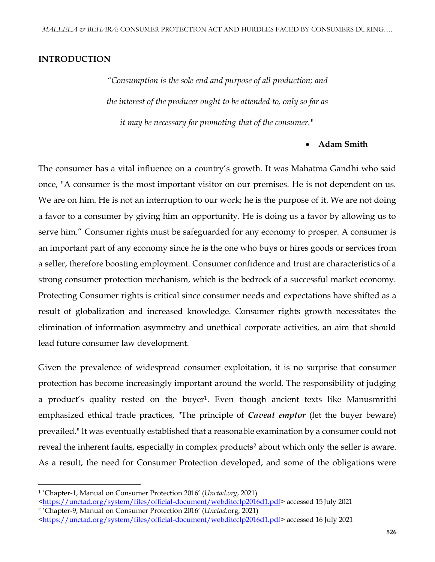## **INTRODUCTION**

*"Consumption is the sole end and purpose of all production; and the interest of the producer ought to be attended to, only so far as it may be necessary for promoting that of the consumer."*

#### **Adam Smith**

The consumer has a vital influence on a country's growth. It was Mahatma Gandhi who said once, "A consumer is the most important visitor on our premises. He is not dependent on us. We are on him. He is not an interruption to our work; he is the purpose of it. We are not doing a favor to a consumer by giving him an opportunity. He is doing us a favor by allowing us to serve him." Consumer rights must be safeguarded for any economy to prosper. A consumer is an important part of any economy since he is the one who buys or hires goods or services from a seller, therefore boosting employment. Consumer confidence and trust are characteristics of a strong consumer protection mechanism, which is the bedrock of a successful market economy. Protecting Consumer rights is critical since consumer needs and expectations have shifted as a result of globalization and increased knowledge. Consumer rights growth necessitates the elimination of information asymmetry and unethical corporate activities, an aim that should lead future consumer law development.

Given the prevalence of widespread consumer exploitation, it is no surprise that consumer protection has become increasingly important around the world. The responsibility of judging a product's quality rested on the buyer<sup>1</sup>. Even though ancient texts like Manusmrithi emphasized ethical trade practices, "The principle of *Caveat emptor* (let the buyer beware) prevailed." It was eventually established that a reasonable examination by a consumer could not reveal the inherent faults, especially in complex products<sup>2</sup> about which only the seller is aware. As a result, the need for Consumer Protection developed, and some of the obligations were

<sup>1</sup> 'Chapter-1, Manual on Consumer Protection 2016' (*Unctad.org*, 2021)

[<sup>&</sup>lt;https://unctad.org/system/files/official-document/webditcclp2016d1.pdf>](https://unctad.org/system/files/official-document/webditcclp2016d1.pdf) accessed 15 July 2021

<sup>2</sup> 'Chapter-9, Manual on Consumer Protection 2016' (*Unctad.*org, 2021)

[<sup>&</sup>lt;https://unctad.org/system/files/official-document/webditcclp2016d1.pdf>](https://unctad.org/system/files/official-document/webditcclp2016d1.pdf)accessed 16 July 2021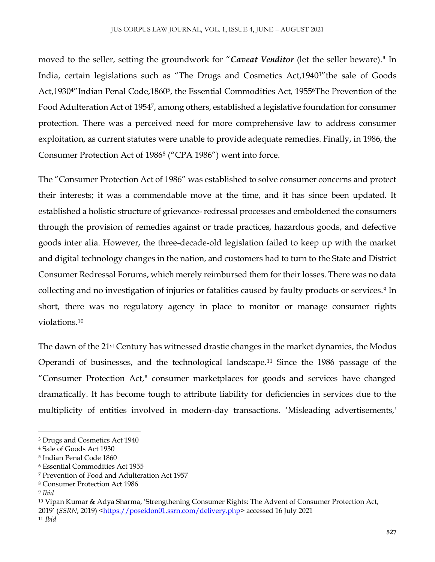moved to the seller, setting the groundwork for "*Caveat Venditor* (let the seller beware)." In India, certain legislations such as "The Drugs and Cosmetics Act,19403"the sale of Goods Act,1930<sup>4</sup>"Indian Penal Code,1860<sup>5</sup>, the Essential Commodities Act, 1955<sup>6</sup>The Prevention of the Food Adulteration Act of 1954<sup>7</sup> , among others, established a legislative foundation for consumer protection. There was a perceived need for more comprehensive law to address consumer exploitation, as current statutes were unable to provide adequate remedies. Finally, in 1986, the Consumer Protection Act of 1986<sup>8</sup> ("CPA 1986") went into force.

The "Consumer Protection Act of 1986" was established to solve consumer concerns and protect their interests; it was a commendable move at the time, and it has since been updated. It established a holistic structure of grievance- redressal processes and emboldened the consumers through the provision of remedies against or trade practices, hazardous goods, and defective goods inter alia. However, the three-decade-old legislation failed to keep up with the market and digital technology changes in the nation, and customers had to turn to the State and District Consumer Redressal Forums, which merely reimbursed them for their losses. There was no data collecting and no investigation of injuries or fatalities caused by faulty products or services.<sup>9</sup> In short, there was no regulatory agency in place to monitor or manage consumer rights violations.<sup>10</sup>

The dawn of the 21<sup>st</sup> Century has witnessed drastic changes in the market dynamics, the Modus Operandi of businesses, and the technological landscape.<sup>11</sup> Since the 1986 passage of the "Consumer Protection Act," consumer marketplaces for goods and services have changed dramatically. It has become tough to attribute liability for deficiencies in services due to the multiplicity of entities involved in modern-day transactions. 'Misleading advertisements,'

<sup>3</sup> Drugs and Cosmetics Act 1940

<sup>4</sup> Sale of Goods Act 1930

<sup>5</sup> Indian Penal Code 1860

<sup>6</sup> Essential Commodities Act 1955

<sup>7</sup> Prevention of Food and Adulteration Act 1957

<sup>8</sup> Consumer Protection Act 1986

<sup>9</sup> *Ibid*

<sup>10</sup> Vipan Kumar & Adya Sharma, 'Strengthening Consumer Rights: The Advent of Consumer Protection Act, 2019' (*SSRN*, 2019) [<https://poseidon01.ssrn.com/delivery.php>](https://poseidon01.ssrn.com/delivery.php) accessed 16 July 2021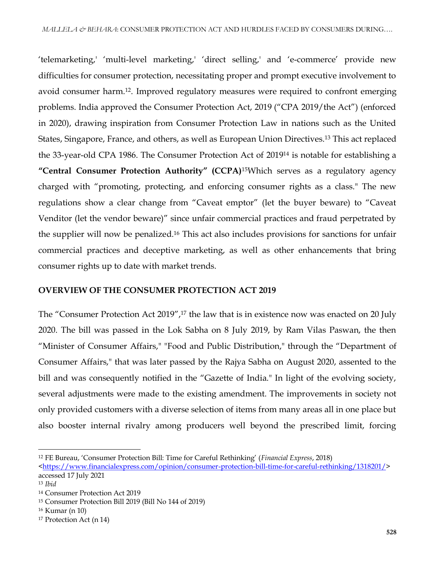'telemarketing,' 'multi-level marketing,' 'direct selling,' and 'e-commerce' provide new difficulties for consumer protection, necessitating proper and prompt executive involvement to avoid consumer harm.12. Improved regulatory measures were required to confront emerging problems. India approved the Consumer Protection Act, 2019 ("CPA 2019/the Act") (enforced in 2020), drawing inspiration from Consumer Protection Law in nations such as the United States, Singapore, France, and others, as well as European Union Directives.<sup>13</sup> This act replaced the 33-year-old CPA 1986. The Consumer Protection Act of 2019<sup>14</sup> is notable for establishing a **"Central Consumer Protection Authority" (CCPA)**15Which serves as a regulatory agency charged with "promoting, protecting, and enforcing consumer rights as a class." The new regulations show a clear change from "Caveat emptor" (let the buyer beware) to "Caveat Venditor (let the vendor beware)" since unfair commercial practices and fraud perpetrated by the supplier will now be penalized.<sup>16</sup> This act also includes provisions for sanctions for unfair commercial practices and deceptive marketing, as well as other enhancements that bring consumer rights up to date with market trends.

## **OVERVIEW OF THE CONSUMER PROTECTION ACT 2019**

The "Consumer Protection Act 2019",<sup>17</sup> the law that is in existence now was enacted on 20 July 2020. The bill was passed in the Lok Sabha on 8 July 2019, by Ram Vilas Paswan, the then "Minister of Consumer Affairs," "Food and Public Distribution," through the "Department of Consumer Affairs," that was later passed by the Rajya Sabha on August 2020, assented to the bill and was consequently notified in the "Gazette of India." In light of the evolving society, several adjustments were made to the existing amendment. The improvements in society not only provided customers with a diverse selection of items from many areas all in one place but also booster internal rivalry among producers well beyond the prescribed limit, forcing

 $\overline{a}$ 

<sup>12</sup> FE Bureau, 'Consumer Protection Bill: Time for Careful Rethinking' (*Financial Express*, 2018)

[<sup>&</sup>lt;https://www.financialexpress.com/opinion/consumer-protection-bill-time-for-careful-rethinking/1318201/>](https://www.financialexpress.com/opinion/consumer-protection-bill-time-for-careful-rethinking/1318201/) accessed 17 July 2021

<sup>13</sup> *Ibid*

<sup>14</sup> Consumer Protection Act 2019

<sup>15</sup> Consumer Protection Bill 2019 (Bill No 144 of 2019)

<sup>16</sup> Kumar (n 10)

<sup>17</sup> Protection Act (n 14)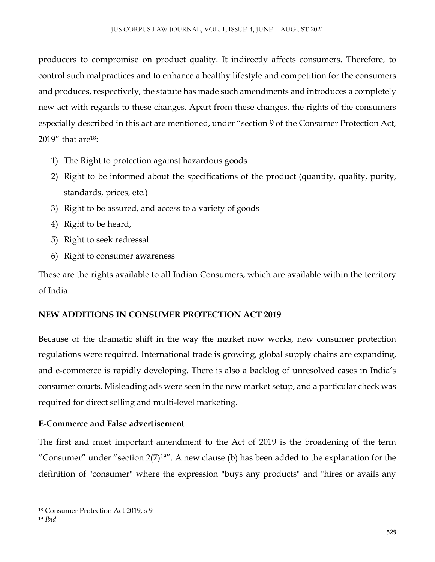producers to compromise on product quality. It indirectly affects consumers. Therefore, to control such malpractices and to enhance a healthy lifestyle and competition for the consumers and produces, respectively, the statute has made such amendments and introduces a completely new act with regards to these changes. Apart from these changes, the rights of the consumers especially described in this act are mentioned, under "section 9 of the Consumer Protection Act, 2019" that are<sup>18</sup>:

- 1) The Right to protection against hazardous goods
- 2) Right to be informed about the specifications of the product (quantity, quality, purity, standards, prices, etc.)
- 3) Right to be assured, and access to a variety of goods
- 4) Right to be heard,
- 5) Right to seek redressal
- 6) Right to consumer awareness

These are the rights available to all Indian Consumers, which are available within the territory of India.

# **NEW ADDITIONS IN CONSUMER PROTECTION ACT 2019**

Because of the dramatic shift in the way the market now works, new consumer protection regulations were required. International trade is growing, global supply chains are expanding, and e-commerce is rapidly developing. There is also a backlog of unresolved cases in India's consumer courts. Misleading ads were seen in the new market setup, and a particular check was required for direct selling and multi-level marketing.

# **E-Commerce and False advertisement**

The first and most important amendment to the Act of 2019 is the broadening of the term "Consumer" under "section  $2(7)^{19}$ ". A new clause (b) has been added to the explanation for the definition of "consumer" where the expression "buys any products" and "hires or avails any

 $\overline{\phantom{a}}$ <sup>18</sup> Consumer Protection Act 2019, s 9

<sup>19</sup> *Ibid*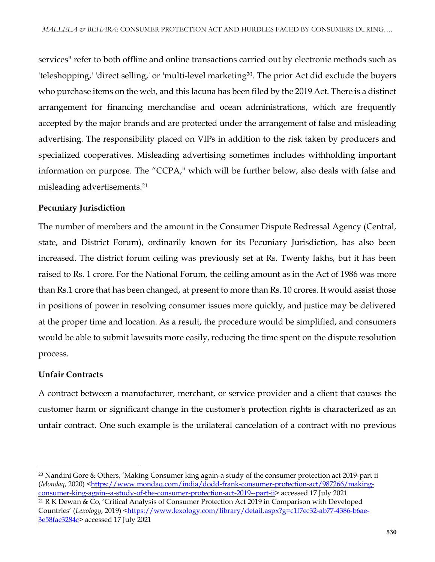services" refer to both offline and online transactions carried out by electronic methods such as 'teleshopping,' 'direct selling,' or 'multi-level marketing20. The prior Act did exclude the buyers who purchase items on the web, and this lacuna has been filed by the 2019 Act. There is a distinct arrangement for financing merchandise and ocean administrations, which are frequently accepted by the major brands and are protected under the arrangement of false and misleading advertising. The responsibility placed on VIPs in addition to the risk taken by producers and specialized cooperatives. Misleading advertising sometimes includes withholding important information on purpose. The "CCPA," which will be further below, also deals with false and misleading advertisements.<sup>21</sup>

#### **Pecuniary Jurisdiction**

The number of members and the amount in the Consumer Dispute Redressal Agency (Central, state, and District Forum), ordinarily known for its Pecuniary Jurisdiction, has also been increased. The district forum ceiling was previously set at Rs. Twenty lakhs, but it has been raised to Rs. 1 crore. For the National Forum, the ceiling amount as in the Act of 1986 was more than Rs.1 crore that has been changed, at present to more than Rs. 10 crores. It would assist those in positions of power in resolving consumer issues more quickly, and justice may be delivered at the proper time and location. As a result, the procedure would be simplified, and consumers would be able to submit lawsuits more easily, reducing the time spent on the dispute resolution process.

#### **Unfair Contracts**

 $\overline{a}$ 

A contract between a manufacturer, merchant, or service provider and a client that causes the customer harm or significant change in the customer's protection rights is characterized as an unfair contract. One such example is the unilateral cancelation of a contract with no previous

<sup>&</sup>lt;sup>20</sup> Nandini Gore & Others, 'Making Consumer king again-a study of the consumer protection act 2019-part ii (Mondaq, 2020) [<https://www.mondaq.com/india/dodd-frank-consumer-protection-act/987266/making](https://www.mondaq.com/india/dodd-frank-consumer-protection-act/987266/making-consumer-king-again--a-study-of-the-consumer-protection-act-2019--part-ii)[consumer-king-again--a-study-of-the-consumer-protection-act-2019--part-ii>](https://www.mondaq.com/india/dodd-frank-consumer-protection-act/987266/making-consumer-king-again--a-study-of-the-consumer-protection-act-2019--part-ii) accessed 17 July 2021 <sup>21</sup> R K Dewan & Co, 'Critical Analysis of Consumer Protection Act 2019 in Comparison with Developed Countries' (*Lexology*, 2019) [<https://www.lexology.com/library/detail.aspx?g=c1f7ec32-ab77-4386-b6ae-](https://www.lexology.com/library/detail.aspx?g=c1f7ec32-ab77-4386-b6ae-3e58fac3284c)[3e58fac3284c>](https://www.lexology.com/library/detail.aspx?g=c1f7ec32-ab77-4386-b6ae-3e58fac3284c) accessed 17 July 2021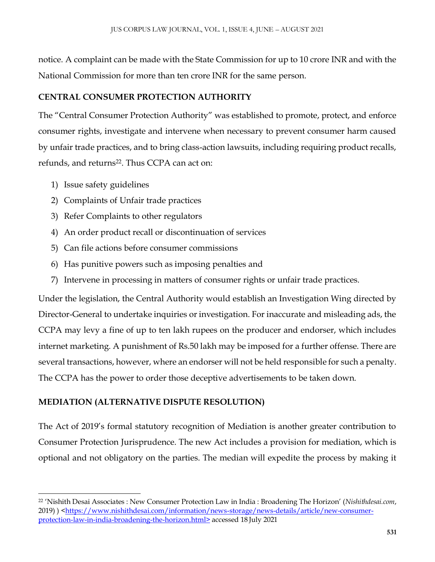notice. A complaint can be made with the State Commission for up to 10 crore INR and with the National Commission for more than ten crore INR for the same person.

# **CENTRAL CONSUMER PROTECTION AUTHORITY**

The "Central Consumer Protection Authority" was established to promote, protect, and enforce consumer rights, investigate and intervene when necessary to prevent consumer harm caused by unfair trade practices, and to bring class-action lawsuits, including requiring product recalls, refunds, and returns<sup>22</sup>. Thus CCPA can act on:

1) Issue safety guidelines

 $\overline{\phantom{a}}$ 

- 2) Complaints of Unfair trade practices
- 3) Refer Complaints to other regulators
- 4) An order product recall or discontinuation of services
- 5) Can file actions before consumer commissions
- 6) Has punitive powers such as imposing penalties and
- 7) Intervene in processing in matters of consumer rights or unfair trade practices.

Under the legislation, the Central Authority would establish an Investigation Wing directed by Director-General to undertake inquiries or investigation. For inaccurate and misleading ads, the CCPA may levy a fine of up to ten lakh rupees on the producer and endorser, which includes internet marketing. A punishment of Rs.50 lakh may be imposed for a further offense. There are several transactions, however, where an endorser will not be held responsible for such a penalty. The CCPA has the power to order those deceptive advertisements to be taken down.

# **MEDIATION (ALTERNATIVE DISPUTE RESOLUTION)**

The Act of 2019's formal statutory recognition of Mediation is another greater contribution to Consumer Protection Jurisprudence. The new Act includes a provision for mediation, which is optional and not obligatory on the parties. The median will expedite the process by making it

<sup>22</sup> 'Nishith Desai Associates : New Consumer Protection Law in India : Broadening The Horizon' (*Nishithdesai.com*, 2019)  $\langle$ https://www.nishithdesai.com/information/news-storage/news-details/article/new-consumer[protection-law-in-india-broadening-the-horizon.html>](https://www.nishithdesai.com/information/news-storage/news-details/article/new-consumer-protection-law-in-india-broadening-the-horizon.html) accessed 18 July 2021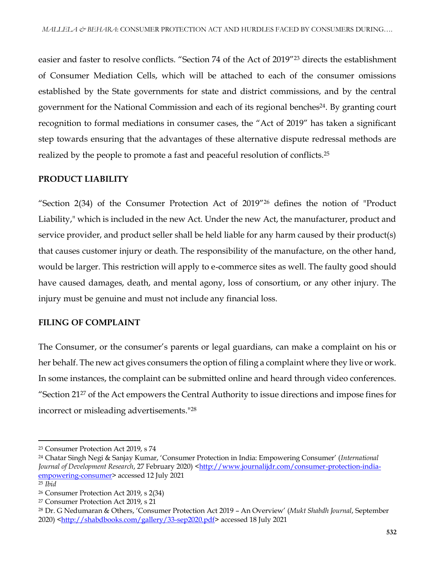easier and faster to resolve conflicts. "Section 74 of the Act of 2019"<sup>23</sup> directs the establishment of Consumer Mediation Cells, which will be attached to each of the consumer omissions established by the State governments for state and district commissions, and by the central government for the National Commission and each of its regional benches<sup>24</sup>. By granting court recognition to formal mediations in consumer cases, the "Act of 2019" has taken a significant step towards ensuring that the advantages of these alternative dispute redressal methods are realized by the people to promote a fast and peaceful resolution of conflicts.<sup>25</sup>

#### **PRODUCT LIABILITY**

"Section 2(34) of the Consumer Protection Act of 2019"<sup>26</sup> defines the notion of "Product Liability," which is included in the new Act. Under the new Act, the manufacturer, product and service provider, and product seller shall be held liable for any harm caused by their product(s) that causes customer injury or death. The responsibility of the manufacture, on the other hand, would be larger. This restriction will apply to e-commerce sites as well. The faulty good should have caused damages, death, and mental agony, loss of consortium, or any other injury. The injury must be genuine and must not include any financial loss.

## **FILING OF COMPLAINT**

The Consumer, or the consumer's parents or legal guardians, can make a complaint on his or her behalf. The new act gives consumers the option of filing a complaint where they live or work. In some instances, the complaint can be submitted online and heard through video conferences. "Section 21<sup>27</sup> of the Act empowers the Central Authority to issue directions and impose fines for incorrect or misleading advertisements."<sup>28</sup>

<sup>23</sup> Consumer Protection Act 2019, s 74

<sup>24</sup> Chatar Singh Negi & Sanjay Kumar, 'Consumer Protection in India: Empowering Consumer' (*International Journal of Development Research*, 27 February 2020) [<http://www.journalijdr.com/consumer-protection-india](http://www.journalijdr.com/consumer-protection-india-empowering-consumer)[empowering-consumer>](http://www.journalijdr.com/consumer-protection-india-empowering-consumer) accessed 12 July 2021

<sup>25</sup> *Ibid*

<sup>26</sup> Consumer Protection Act 2019, s 2(34)

<sup>27</sup> Consumer Protection Act 2019, s 21

<sup>28</sup> Dr. G Nedumaran & Others, 'Consumer Protection Act 2019 – An Overview' (*Mukt Shabdh Journal*, September 2020) [<http://shabdbooks.com/gallery/33-sep2020.pdf>](http://shabdbooks.com/gallery/33-sep2020.pdf) accessed 18 July 2021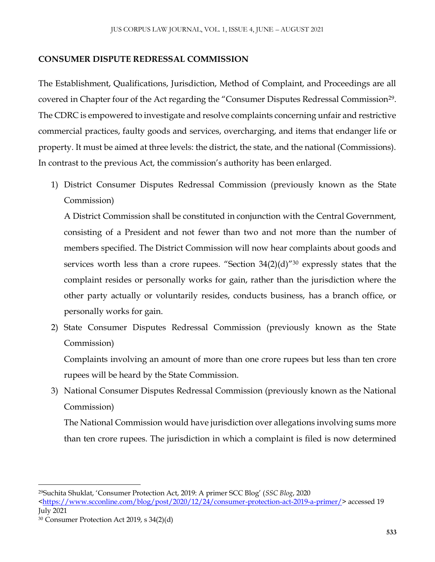## **CONSUMER DISPUTE REDRESSAL COMMISSION**

The Establishment, Qualifications, Jurisdiction, Method of Complaint, and Proceedings are all covered in Chapter four of the Act regarding the "Consumer Disputes Redressal Commission<sup>29</sup>. The CDRC is empowered to investigate and resolve complaints concerning unfair and restrictive commercial practices, faulty goods and services, overcharging, and items that endanger life or property. It must be aimed at three levels: the district, the state, and the national (Commissions). In contrast to the previous Act, the commission's authority has been enlarged.

1) District Consumer Disputes Redressal Commission (previously known as the State Commission)

A District Commission shall be constituted in conjunction with the Central Government, consisting of a President and not fewer than two and not more than the number of members specified. The District Commission will now hear complaints about goods and services worth less than a crore rupees. "Section  $34(2)(d)$ "<sup>30</sup> expressly states that the complaint resides or personally works for gain, rather than the jurisdiction where the other party actually or voluntarily resides, conducts business, has a branch office, or personally works for gain.

2) State Consumer Disputes Redressal Commission (previously known as the State Commission)

Complaints involving an amount of more than one crore rupees but less than ten crore rupees will be heard by the State Commission.

3) National Consumer Disputes Redressal Commission (previously known as the National Commission)

The National Commission would have jurisdiction over allegations involving sums more than ten crore rupees. The jurisdiction in which a complaint is filed is now determined

<sup>29</sup>Suchita Shuklat, 'Consumer Protection Act, 2019: A primer SCC Blog' (*SSC Blog*, 2020

[<sup>&</sup>lt;https://www.scconline.com/blog/post/2020/12/24/consumer-protection-act-2019-a-primer/>](https://www.scconline.com/blog/post/2020/12/24/consumer-protection-act-2019-a-primer/) accessed 19 July 2021

<sup>30</sup> Consumer Protection Act 2019, s 34(2)(d)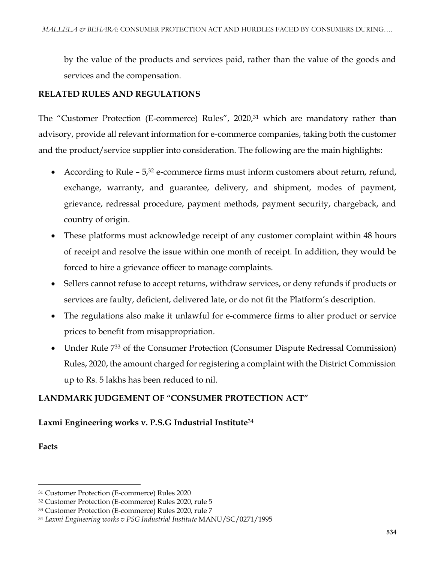by the value of the products and services paid, rather than the value of the goods and services and the compensation.

## **RELATED RULES AND REGULATIONS**

The "Customer Protection (E-commerce) Rules", 2020,<sup>31</sup> which are mandatory rather than advisory, provide all relevant information for e-commerce companies, taking both the customer and the product/service supplier into consideration. The following are the main highlights:

- According to Rule  $-5<sup>32</sup>$  e-commerce firms must inform customers about return, refund, exchange, warranty, and guarantee, delivery, and shipment, modes of payment, grievance, redressal procedure, payment methods, payment security, chargeback, and country of origin.
- These platforms must acknowledge receipt of any customer complaint within 48 hours of receipt and resolve the issue within one month of receipt. In addition, they would be forced to hire a grievance officer to manage complaints.
- Sellers cannot refuse to accept returns, withdraw services, or deny refunds if products or services are faulty, deficient, delivered late, or do not fit the Platform's description.
- The regulations also make it unlawful for e-commerce firms to alter product or service prices to benefit from misappropriation.
- Under Rule 733 of the Consumer Protection (Consumer Dispute Redressal Commission) Rules, 2020, the amount charged for registering a complaint with the District Commission up to Rs. 5 lakhs has been reduced to nil.

# **LANDMARK JUDGEMENT OF "CONSUMER PROTECTION ACT"**

## **Laxmi Engineering works v. P.S.G Industrial Institute**<sup>34</sup>

**Facts**

<sup>31</sup> Customer Protection (E-commerce) Rules 2020

<sup>32</sup> Customer Protection (E-commerce) Rules 2020, rule 5

<sup>33</sup> Customer Protection (E-commerce) Rules 2020, rule 7

<sup>34</sup> *Laxmi Engineering works v PSG Industrial Institute* MANU/SC/0271/1995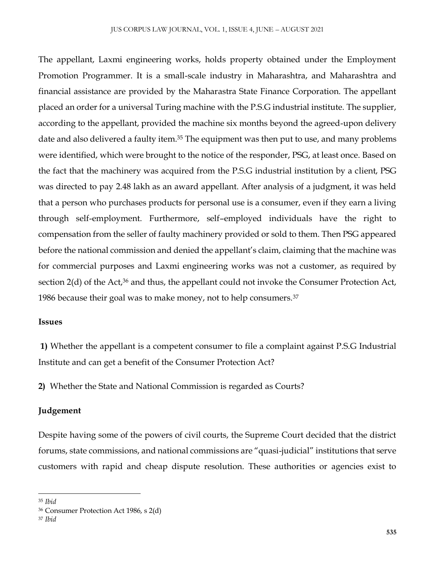The appellant, Laxmi engineering works, holds property obtained under the Employment Promotion Programmer. It is a small-scale industry in Maharashtra, and Maharashtra and financial assistance are provided by the Maharastra State Finance Corporation. The appellant placed an order for a universal Turing machine with the P.S.G industrial institute. The supplier, according to the appellant, provided the machine six months beyond the agreed-upon delivery date and also delivered a faulty item.<sup>35</sup> The equipment was then put to use, and many problems were identified, which were brought to the notice of the responder, PSG, at least once. Based on the fact that the machinery was acquired from the P.S.G industrial institution by a client, PSG was directed to pay 2.48 lakh as an award appellant. After analysis of a judgment, it was held that a person who purchases products for personal use is a consumer, even if they earn a living through self-employment. Furthermore, self–employed individuals have the right to compensation from the seller of faulty machinery provided or sold to them. Then PSG appeared before the national commission and denied the appellant's claim, claiming that the machine was for commercial purposes and Laxmi engineering works was not a customer, as required by section 2(d) of the Act,<sup>36</sup> and thus, the appellant could not invoke the Consumer Protection Act, 1986 because their goal was to make money, not to help consumers. $37$ 

#### **Issues**

**1)** Whether the appellant is a competent consumer to file a complaint against P.S.G Industrial Institute and can get a benefit of the Consumer Protection Act?

**2)** Whether the State and National Commission is regarded as Courts?

#### **Judgement**

Despite having some of the powers of civil courts, the Supreme Court decided that the district forums, state commissions, and national commissions are "quasi-judicial" institutions that serve customers with rapid and cheap dispute resolution. These authorities or agencies exist to

<sup>35</sup> *Ibid*

<sup>36</sup> Consumer Protection Act 1986, s 2(d)

<sup>37</sup> *Ibid*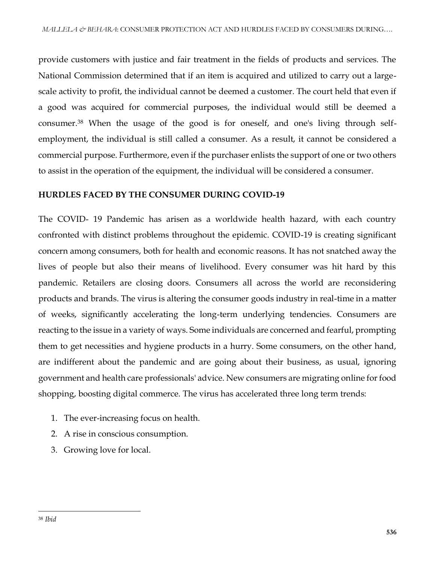provide customers with justice and fair treatment in the fields of products and services. The National Commission determined that if an item is acquired and utilized to carry out a largescale activity to profit, the individual cannot be deemed a customer. The court held that even if a good was acquired for commercial purposes, the individual would still be deemed a consumer.<sup>38</sup> When the usage of the good is for oneself, and one's living through selfemployment, the individual is still called a consumer. As a result, it cannot be considered a commercial purpose. Furthermore, even if the purchaser enlists the support of one or two others to assist in the operation of the equipment, the individual will be considered a consumer.

# **HURDLES FACED BY THE CONSUMER DURING COVID-19**

The COVID- 19 Pandemic has arisen as a worldwide health hazard, with each country confronted with distinct problems throughout the epidemic. COVID-19 is creating significant concern among consumers, both for health and economic reasons. It has not snatched away the lives of people but also their means of livelihood. Every consumer was hit hard by this pandemic. Retailers are closing doors. Consumers all across the world are reconsidering products and brands. The virus is altering the consumer goods industry in real-time in a matter of weeks, significantly accelerating the long-term underlying tendencies. Consumers are reacting to the issue in a variety of ways. Some individuals are concerned and fearful, prompting them to get necessities and hygiene products in a hurry. Some consumers, on the other hand, are indifferent about the pandemic and are going about their business, as usual, ignoring government and health care professionals' advice. New consumers are migrating online for food shopping, boosting digital commerce. The virus has accelerated three long term trends:

- 1. The ever-increasing focus on health.
- 2. A rise in conscious consumption.
- 3. Growing love for local.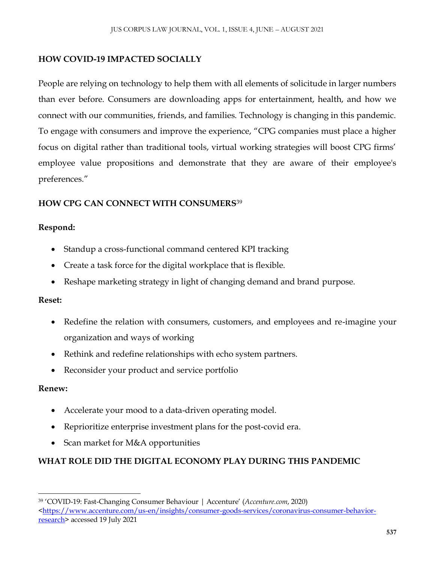## **HOW COVID-19 IMPACTED SOCIALLY**

People are relying on technology to help them with all elements of solicitude in larger numbers than ever before. Consumers are downloading apps for entertainment, health, and how we connect with our communities, friends, and families. Technology is changing in this pandemic. To engage with consumers and improve the experience, "CPG companies must place a higher focus on digital rather than traditional tools, virtual working strategies will boost CPG firms' employee value propositions and demonstrate that they are aware of their employee's preferences."

# **HOW CPG CAN CONNECT WITH CONSUMERS**<sup>39</sup>

## **Respond:**

- Standup a cross-functional command centered KPI tracking
- Create a task force for the digital workplace that is flexible.
- Reshape marketing strategy in light of changing demand and brand purpose.

## **Reset:**

- Redefine the relation with consumers, customers, and employees and re-imagine your organization and ways of working
- Rethink and redefine relationships with echo system partners.
- Reconsider your product and service portfolio

## **Renew:**

 $\overline{\phantom{a}}$ 

- Accelerate your mood to a data-driven operating model.
- Reprioritize enterprise investment plans for the post-covid era.
- Scan market for M&A opportunities

# **WHAT ROLE DID THE DIGITAL ECONOMY PLAY DURING THIS PANDEMIC**

<sup>39</sup> 'COVID-19: Fast-Changing Consumer Behaviour | Accenture' (*Accenture.com*, 2020) [<https://www.accenture.com/us-en/insights/consumer-goods-services/coronavirus-consumer-behavior](https://www.accenture.com/us-en/insights/consumer-goods-services/coronavirus-consumer-behavior-research)[research>](https://www.accenture.com/us-en/insights/consumer-goods-services/coronavirus-consumer-behavior-research) accessed 19 July 2021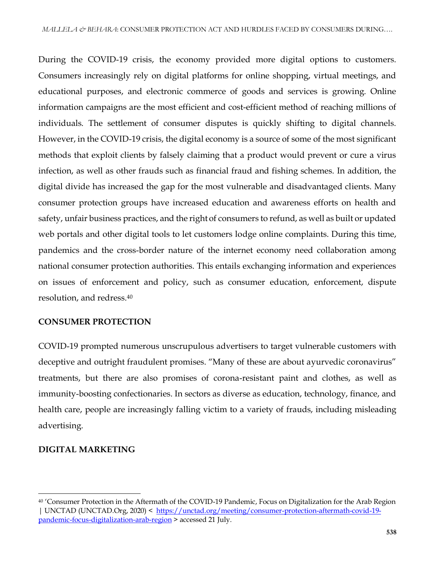During the COVID-19 crisis, the economy provided more digital options to customers. Consumers increasingly rely on digital platforms for online shopping, virtual meetings, and educational purposes, and electronic commerce of goods and services is growing. Online information campaigns are the most efficient and cost-efficient method of reaching millions of individuals. The settlement of consumer disputes is quickly shifting to digital channels. However, in the COVID-19 crisis, the digital economy is a source of some of the most significant methods that exploit clients by falsely claiming that a product would prevent or cure a virus infection, as well as other frauds such as financial fraud and fishing schemes. In addition, the digital divide has increased the gap for the most vulnerable and disadvantaged clients. Many consumer protection groups have increased education and awareness efforts on health and safety, unfair business practices, and the right of consumers to refund, as well as built or updated web portals and other digital tools to let customers lodge online complaints. During this time, pandemics and the cross-border nature of the internet economy need collaboration among national consumer protection authorities. This entails exchanging information and experiences on issues of enforcement and policy, such as consumer education, enforcement, dispute resolution, and redress.<sup>40</sup>

## **CONSUMER PROTECTION**

COVID-19 prompted numerous unscrupulous advertisers to target vulnerable customers with deceptive and outright fraudulent promises. "Many of these are about ayurvedic coronavirus" treatments, but there are also promises of corona-resistant paint and clothes, as well as immunity-boosting confectionaries. In sectors as diverse as education, technology, finance, and health care, people are increasingly falling victim to a variety of frauds, including misleading advertising.

#### **DIGITAL MARKETING**

<sup>40</sup> 'Consumer Protection in the Aftermath of the COVID-19 Pandemic, Focus on Digitalization for the Arab Region | UNCTAD (UNCTAD.Org, 2020) < [https://unctad.org/meeting/consumer-protection-aftermath-covid-19](https://unctad.org/meeting/consumer-protection-aftermath-covid-19-pandemic-focus-digitalization-arab-region) [pandemic-focus-digitalization-arab-region](https://unctad.org/meeting/consumer-protection-aftermath-covid-19-pandemic-focus-digitalization-arab-region) > accessed 21 July.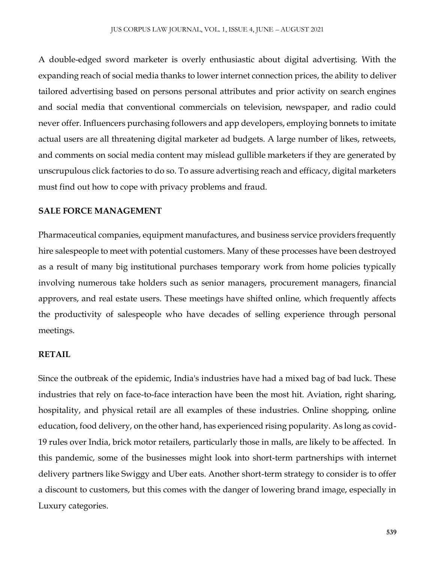A double-edged sword marketer is overly enthusiastic about digital advertising. With the expanding reach of social media thanks to lower internet connection prices, the ability to deliver tailored advertising based on persons personal attributes and prior activity on search engines and social media that conventional commercials on television, newspaper, and radio could never offer. Influencers purchasing followers and app developers, employing bonnets to imitate actual users are all threatening digital marketer ad budgets. A large number of likes, retweets, and comments on social media content may mislead gullible marketers if they are generated by unscrupulous click factories to do so. To assure advertising reach and efficacy, digital marketers must find out how to cope with privacy problems and fraud.

#### **SALE FORCE MANAGEMENT**

Pharmaceutical companies, equipment manufactures, and business service providers frequently hire salespeople to meet with potential customers. Many of these processes have been destroyed as a result of many big institutional purchases temporary work from home policies typically involving numerous take holders such as senior managers, procurement managers, financial approvers, and real estate users. These meetings have shifted online, which frequently affects the productivity of salespeople who have decades of selling experience through personal meetings.

#### **RETAIL**

Since the outbreak of the epidemic, India's industries have had a mixed bag of bad luck. These industries that rely on face-to-face interaction have been the most hit. Aviation, right sharing, hospitality, and physical retail are all examples of these industries. Online shopping, online education, food delivery, on the other hand, has experienced rising popularity. As long as covid-19 rules over India, brick motor retailers, particularly those in malls, are likely to be affected. In this pandemic, some of the businesses might look into short-term partnerships with internet delivery partners like Swiggy and Uber eats. Another short-term strategy to consider is to offer a discount to customers, but this comes with the danger of lowering brand image, especially in Luxury categories.